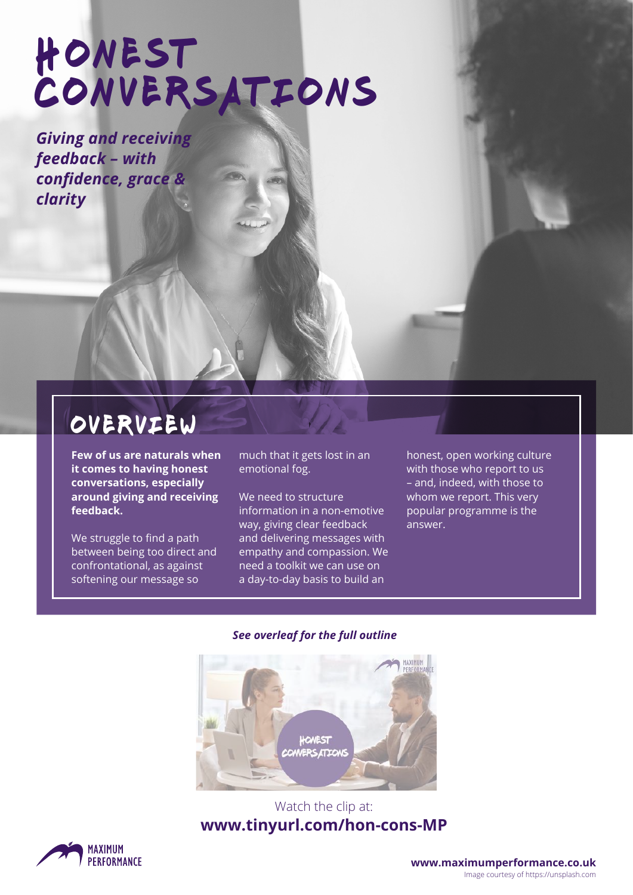# Honest CONVERSATIONS

*Giving and receiving feedback – with confidence, grace & clarity* 

## overview

**Few of us are naturals when it comes to having honest conversations, especially around giving and receiving feedback.** 

We struggle to find a path between being too direct and confrontational, as against softening our message so

much that it gets lost in an emotional fog.

We need to structure information in a non-emotive way, giving clear feedback and delivering messages with empathy and compassion. We need a toolkit we can use on a day-to-day basis to build an

honest, open working culture with those who report to us – and, indeed, with those to whom we report. This very popular programme is the answer.

#### *See overleaf for the full outline*



#### Watch the clip at: **[www.tinyurl.com/hon-cons-MP](http://www.tinyurl.com/hon-cons-MP)**